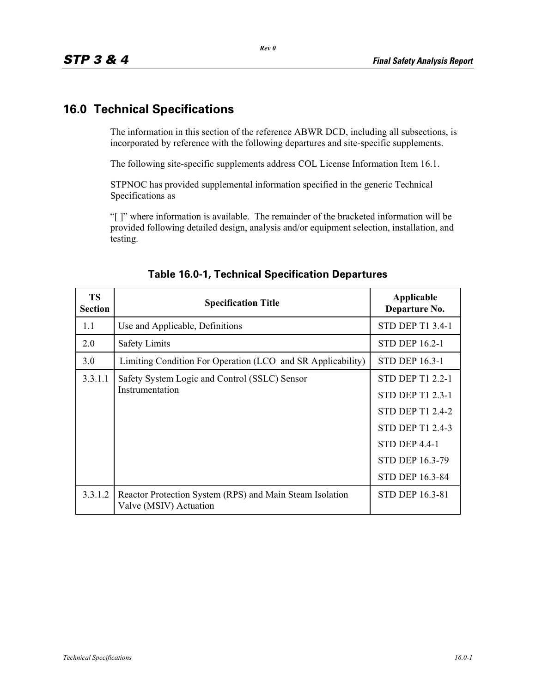## **16.0 Technical Specifications**

The information in this section of the reference ABWR DCD, including all subsections, is incorporated by reference with the following departures and site-specific supplements.

The following site-specific supplements address COL License Information Item 16.1.

STPNOC has provided supplemental information specified in the generic Technical Specifications as

"[ ]" where information is available. The remainder of the bracketed information will be provided following detailed design, analysis and/or equipment selection, installation, and testing.

| <b>TS</b><br><b>Section</b> | <b>Specification Title</b>                                                         | Applicable<br>Departure No.                                                                                                                                            |
|-----------------------------|------------------------------------------------------------------------------------|------------------------------------------------------------------------------------------------------------------------------------------------------------------------|
| 1.1                         | Use and Applicable, Definitions                                                    | STD DEP T1 3.4-1                                                                                                                                                       |
| 2.0                         | <b>Safety Limits</b>                                                               | <b>STD DEP 16.2-1</b>                                                                                                                                                  |
| 3.0                         | Limiting Condition For Operation (LCO and SR Applicability)                        | <b>STD DEP 16.3-1</b>                                                                                                                                                  |
| 3.3.1.1                     | Safety System Logic and Control (SSLC) Sensor<br>Instrumentation                   | <b>STD DEP T1 2.2-1</b><br><b>STD DEP T1 2.3-1</b><br><b>STD DEP T1 2.4-2</b><br><b>STD DEP T1 2.4-3</b><br>STD DEP 4.4-1<br><b>STD DEP 16.3-79</b><br>STD DEP 16.3-84 |
| 3.3.1.2                     | Reactor Protection System (RPS) and Main Steam Isolation<br>Valve (MSIV) Actuation | <b>STD DEP 16.3-81</b>                                                                                                                                                 |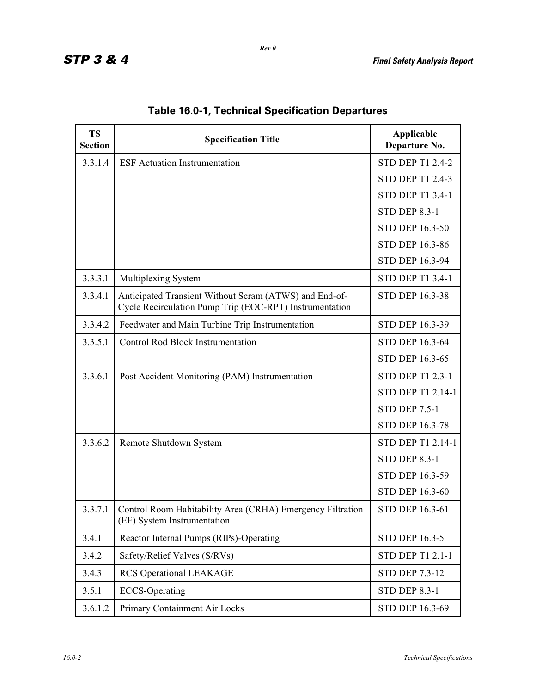| <b>TS</b><br><b>Section</b> | <b>Specification Title</b>                                                                                        | Applicable<br>Departure No. |
|-----------------------------|-------------------------------------------------------------------------------------------------------------------|-----------------------------|
| 3.3.1.4                     | <b>ESF</b> Actuation Instrumentation                                                                              | <b>STD DEP T1 2.4-2</b>     |
|                             |                                                                                                                   | <b>STD DEP T1 2.4-3</b>     |
|                             |                                                                                                                   | <b>STD DEP T1 3.4-1</b>     |
|                             |                                                                                                                   | <b>STD DEP 8.3-1</b>        |
|                             |                                                                                                                   | <b>STD DEP 16.3-50</b>      |
|                             |                                                                                                                   | <b>STD DEP 16.3-86</b>      |
|                             |                                                                                                                   | STD DEP 16.3-94             |
| 3.3.3.1                     | Multiplexing System                                                                                               | <b>STD DEP T1 3.4-1</b>     |
| 3.3.4.1                     | Anticipated Transient Without Scram (ATWS) and End-of-<br>Cycle Recirculation Pump Trip (EOC-RPT) Instrumentation | <b>STD DEP 16.3-38</b>      |
| 3.3.4.2                     | Feedwater and Main Turbine Trip Instrumentation                                                                   | STD DEP 16.3-39             |
| 3.3.5.1                     | <b>Control Rod Block Instrumentation</b>                                                                          | STD DEP 16.3-64             |
|                             |                                                                                                                   | STD DEP 16.3-65             |
| 3.3.6.1                     | Post Accident Monitoring (PAM) Instrumentation                                                                    | <b>STD DEP T1 2.3-1</b>     |
|                             |                                                                                                                   | STD DEP T1 2.14-1           |
|                             |                                                                                                                   | <b>STD DEP 7.5-1</b>        |
|                             |                                                                                                                   | <b>STD DEP 16.3-78</b>      |
| 3.3.6.2                     | Remote Shutdown System                                                                                            | STD DEP T1 2.14-1           |
|                             |                                                                                                                   | <b>STD DEP 8.3-1</b>        |
|                             |                                                                                                                   | STD DEP 16.3-59             |
|                             |                                                                                                                   | STD DEP 16.3-60             |
| 3.3.7.1                     | Control Room Habitability Area (CRHA) Emergency Filtration<br>(EF) System Instrumentation                         | <b>STD DEP 16.3-61</b>      |
| 3.4.1                       | Reactor Internal Pumps (RIPs)-Operating                                                                           | <b>STD DEP 16.3-5</b>       |
| 3.4.2                       | Safety/Relief Valves (S/RVs)                                                                                      | <b>STD DEP T1 2.1-1</b>     |
| 3.4.3                       | <b>RCS Operational LEAKAGE</b>                                                                                    | <b>STD DEP 7.3-12</b>       |
| 3.5.1                       | <b>ECCS-Operating</b>                                                                                             | <b>STD DEP 8.3-1</b>        |
| 3.6.1.2                     | Primary Containment Air Locks                                                                                     | STD DEP 16.3-69             |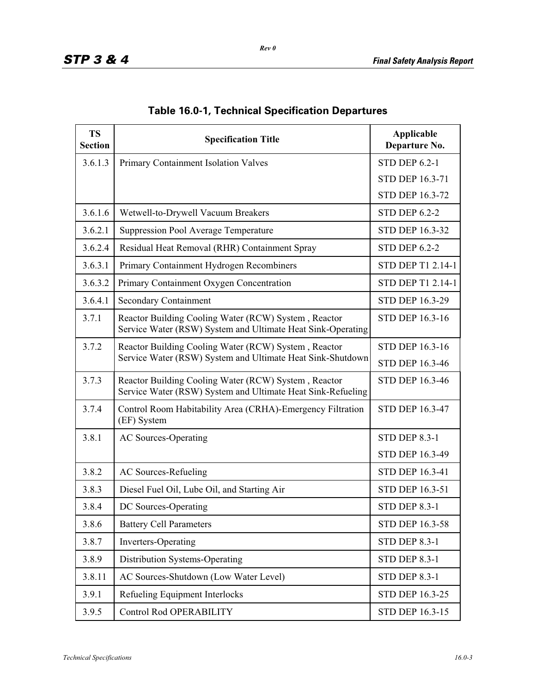| <b>TS</b><br><b>Section</b> | <b>Specification Title</b>                                                                                          | Applicable<br>Departure No. |
|-----------------------------|---------------------------------------------------------------------------------------------------------------------|-----------------------------|
| 3.6.1.3                     | Primary Containment Isolation Valves                                                                                | <b>STD DEP 6.2-1</b>        |
|                             |                                                                                                                     | STD DEP 16.3-71             |
|                             |                                                                                                                     | <b>STD DEP 16.3-72</b>      |
| 3.6.1.6                     | Wetwell-to-Drywell Vacuum Breakers                                                                                  | <b>STD DEP 6.2-2</b>        |
| 3.6.2.1                     | <b>Suppression Pool Average Temperature</b>                                                                         | STD DEP 16.3-32             |
| 3.6.2.4                     | Residual Heat Removal (RHR) Containment Spray                                                                       | <b>STD DEP 6.2-2</b>        |
| 3.6.3.1                     | Primary Containment Hydrogen Recombiners                                                                            | STD DEP T1 2.14-1           |
| 3.6.3.2                     | Primary Containment Oxygen Concentration                                                                            | STD DEP T1 2.14-1           |
| 3.6.4.1                     | <b>Secondary Containment</b>                                                                                        | <b>STD DEP 16.3-29</b>      |
| 3.7.1                       | Reactor Building Cooling Water (RCW) System, Reactor<br>Service Water (RSW) System and Ultimate Heat Sink-Operating | <b>STD DEP 16.3-16</b>      |
| 3.7.2                       | Reactor Building Cooling Water (RCW) System, Reactor                                                                | <b>STD DEP 16.3-16</b>      |
|                             | Service Water (RSW) System and Ultimate Heat Sink-Shutdown                                                          | <b>STD DEP 16.3-46</b>      |
| 3.7.3                       | Reactor Building Cooling Water (RCW) System, Reactor<br>Service Water (RSW) System and Ultimate Heat Sink-Refueling | <b>STD DEP 16.3-46</b>      |
| 3.7.4                       | Control Room Habitability Area (CRHA)-Emergency Filtration<br>(EF) System                                           | STD DEP 16.3-47             |
| 3.8.1                       | <b>AC Sources-Operating</b>                                                                                         | <b>STD DEP 8.3-1</b>        |
|                             |                                                                                                                     | STD DEP 16.3-49             |
| 3.8.2                       | <b>AC Sources-Refueling</b>                                                                                         | STD DEP 16.3-41             |
| 3.8.3                       | Diesel Fuel Oil, Lube Oil, and Starting Air                                                                         | <b>STD DEP 16.3-51</b>      |
| 3.8.4                       | DC Sources-Operating                                                                                                | <b>STD DEP 8.3-1</b>        |
| 3.8.6                       | <b>Battery Cell Parameters</b>                                                                                      | STD DEP 16.3-58             |
| 3.8.7                       | Inverters-Operating                                                                                                 | <b>STD DEP 8.3-1</b>        |
| 3.8.9                       | Distribution Systems-Operating                                                                                      | <b>STD DEP 8.3-1</b>        |
| 3.8.11                      | AC Sources-Shutdown (Low Water Level)                                                                               | <b>STD DEP 8.3-1</b>        |
| 3.9.1                       | Refueling Equipment Interlocks                                                                                      | STD DEP 16.3-25             |
| 3.9.5                       | <b>Control Rod OPERABILITY</b>                                                                                      | STD DEP 16.3-15             |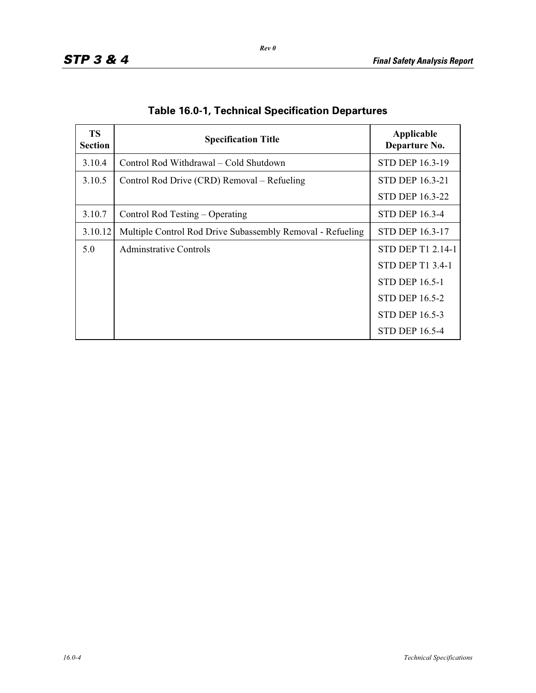| <b>TS</b><br><b>Section</b> | <b>Specification Title</b>                                 | Applicable<br>Departure No. |
|-----------------------------|------------------------------------------------------------|-----------------------------|
| 3.10.4                      | Control Rod Withdrawal – Cold Shutdown                     | <b>STD DEP 16.3-19</b>      |
| 3.10.5                      | Control Rod Drive (CRD) Removal – Refueling                | <b>STD DEP 16.3-21</b>      |
|                             |                                                            | STD DEP 16.3-22             |
| 3.10.7                      | Control Rod Testing – Operating                            | STD DEP 16.3-4              |
| 3.10.12                     | Multiple Control Rod Drive Subassembly Removal - Refueling | <b>STD DEP 16.3-17</b>      |
| 5.0                         | Adminstrative Controls                                     | STD DEP T1 2.14-1           |
|                             |                                                            | <b>STD DEP T1 3.4-1</b>     |
|                             |                                                            | <b>STD DEP 16.5-1</b>       |
|                             |                                                            | <b>STD DEP 16.5-2</b>       |
|                             |                                                            | <b>STD DEP 16.5-3</b>       |
|                             |                                                            | <b>STD DEP 16.5-4</b>       |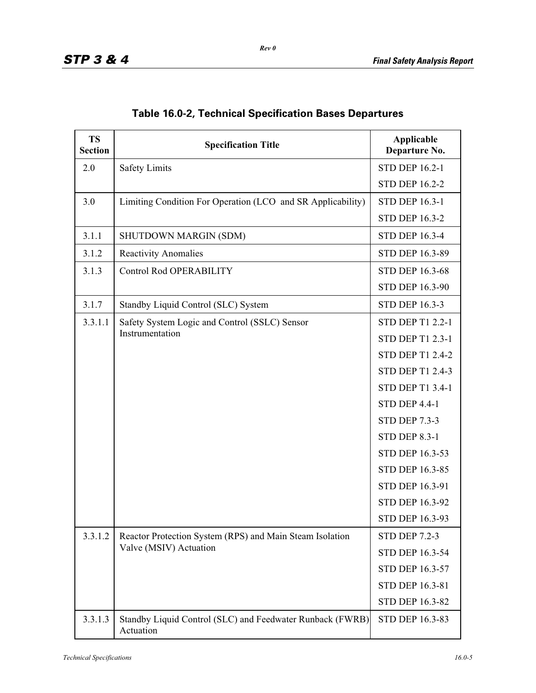| <b>TS</b><br><b>Section</b> | <b>Specification Title</b>                                                         | Applicable<br>Departure No. |
|-----------------------------|------------------------------------------------------------------------------------|-----------------------------|
| 2.0                         | <b>Safety Limits</b>                                                               | <b>STD DEP 16.2-1</b>       |
|                             |                                                                                    | <b>STD DEP 16.2-2</b>       |
| 3.0                         | Limiting Condition For Operation (LCO and SR Applicability)                        | <b>STD DEP 16.3-1</b>       |
|                             |                                                                                    | <b>STD DEP 16.3-2</b>       |
| 3.1.1                       | SHUTDOWN MARGIN (SDM)                                                              | <b>STD DEP 16.3-4</b>       |
| 3.1.2                       | <b>Reactivity Anomalies</b>                                                        | STD DEP 16.3-89             |
| 3.1.3                       | <b>Control Rod OPERABILITY</b>                                                     | STD DEP 16.3-68             |
|                             |                                                                                    | STD DEP 16.3-90             |
| 3.1.7                       | Standby Liquid Control (SLC) System                                                | <b>STD DEP 16.3-3</b>       |
| 3.3.1.1                     | Safety System Logic and Control (SSLC) Sensor                                      | <b>STD DEP T1 2.2-1</b>     |
|                             | Instrumentation                                                                    | <b>STD DEP T1 2.3-1</b>     |
|                             |                                                                                    | <b>STD DEP T1 2.4-2</b>     |
|                             |                                                                                    | <b>STD DEP T1 2.4-3</b>     |
|                             |                                                                                    | <b>STD DEP T1 3.4-1</b>     |
|                             |                                                                                    | <b>STD DEP 4.4-1</b>        |
|                             |                                                                                    | <b>STD DEP 7.3-3</b>        |
|                             |                                                                                    | <b>STD DEP 8.3-1</b>        |
|                             |                                                                                    | STD DEP 16.3-53             |
|                             |                                                                                    | STD DEP 16.3-85             |
|                             |                                                                                    | STD DEP 16.3-91             |
|                             |                                                                                    | STD DEP 16.3-92             |
|                             |                                                                                    | STD DEP 16.3-93             |
| 3.3.1.2                     | Reactor Protection System (RPS) and Main Steam Isolation<br>Valve (MSIV) Actuation | <b>STD DEP 7.2-3</b>        |
|                             |                                                                                    | STD DEP 16.3-54             |
|                             |                                                                                    | STD DEP 16.3-57             |
|                             |                                                                                    | STD DEP 16.3-81             |
|                             |                                                                                    | STD DEP 16.3-82             |
| 3.3.1.3                     | Standby Liquid Control (SLC) and Feedwater Runback (FWRB)<br>Actuation             | STD DEP 16.3-83             |

|  |  | <b>Table 16.0-2, Technical Specification Bases Departures</b> |  |  |
|--|--|---------------------------------------------------------------|--|--|
|--|--|---------------------------------------------------------------|--|--|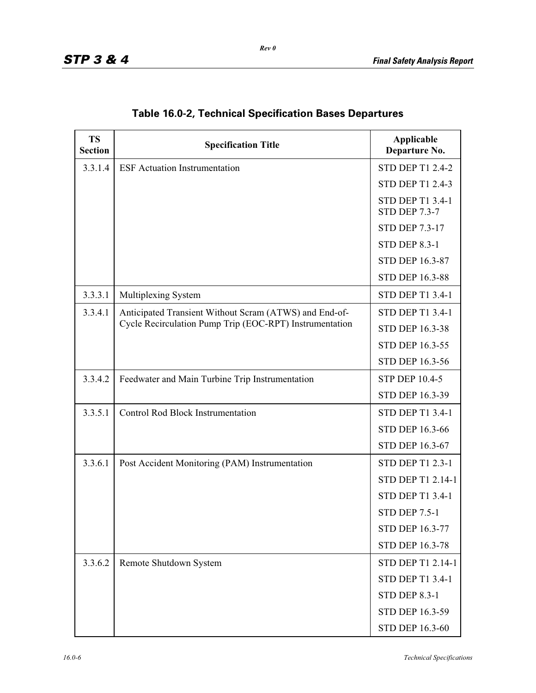| <b>TS</b><br><b>Section</b> | <b>Specification Title</b>                              | Applicable<br>Departure No.                     |
|-----------------------------|---------------------------------------------------------|-------------------------------------------------|
| 3.3.1.4                     | <b>ESF</b> Actuation Instrumentation                    | <b>STD DEP T1 2.4-2</b>                         |
|                             |                                                         | <b>STD DEP T1 2.4-3</b>                         |
|                             |                                                         | <b>STD DEP T1 3.4-1</b><br><b>STD DEP 7.3-7</b> |
|                             |                                                         | <b>STD DEP 7.3-17</b>                           |
|                             |                                                         | <b>STD DEP 8.3-1</b>                            |
|                             |                                                         | <b>STD DEP 16.3-87</b>                          |
|                             |                                                         | <b>STD DEP 16.3-88</b>                          |
| 3.3.3.1                     | Multiplexing System                                     | <b>STD DEP T1 3.4-1</b>                         |
| 3.3.4.1                     | Anticipated Transient Without Scram (ATWS) and End-of-  | <b>STD DEP T1 3.4-1</b>                         |
|                             | Cycle Recirculation Pump Trip (EOC-RPT) Instrumentation | <b>STD DEP 16.3-38</b>                          |
|                             |                                                         | <b>STD DEP 16.3-55</b>                          |
|                             |                                                         | <b>STD DEP 16.3-56</b>                          |
| 3.3.4.2                     | Feedwater and Main Turbine Trip Instrumentation         | <b>STP DEP 10.4-5</b>                           |
|                             |                                                         | STD DEP 16.3-39                                 |
| 3.3.5.1                     | <b>Control Rod Block Instrumentation</b>                | <b>STD DEP T1 3.4-1</b>                         |
|                             |                                                         | <b>STD DEP 16.3-66</b>                          |
|                             |                                                         | STD DEP 16.3-67                                 |
| 3.3.6.1                     | Post Accident Monitoring (PAM) Instrumentation          | <b>STD DEP T1 2.3-1</b>                         |
|                             |                                                         | STD DEP T1 2.14-1                               |
|                             |                                                         | STD DEP T1 3.4-1                                |
|                             |                                                         | <b>STD DEP 7.5-1</b>                            |
|                             |                                                         | STD DEP 16.3-77                                 |
|                             |                                                         | STD DEP 16.3-78                                 |
| 3.3.6.2                     | Remote Shutdown System                                  | STD DEP T1 2.14-1                               |
|                             |                                                         | <b>STD DEP T1 3.4-1</b>                         |
|                             |                                                         | <b>STD DEP 8.3-1</b>                            |
|                             |                                                         | STD DEP 16.3-59                                 |
|                             |                                                         | STD DEP 16.3-60                                 |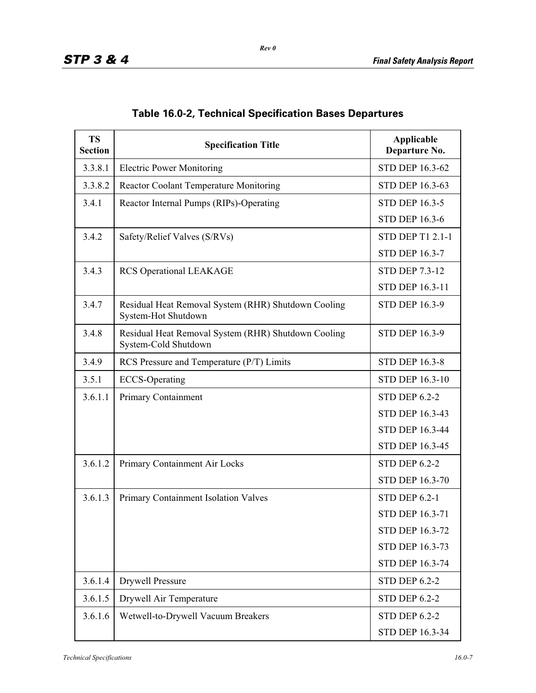| <b>TS</b><br><b>Section</b> | <b>Specification Title</b>                                                  | Applicable<br>Departure No. |
|-----------------------------|-----------------------------------------------------------------------------|-----------------------------|
| 3.3.8.1                     | <b>Electric Power Monitoring</b>                                            | STD DEP 16.3-62             |
| 3.3.8.2                     | Reactor Coolant Temperature Monitoring                                      | STD DEP 16.3-63             |
| 3.4.1                       | Reactor Internal Pumps (RIPs)-Operating                                     | <b>STD DEP 16.3-5</b>       |
|                             |                                                                             | <b>STD DEP 16.3-6</b>       |
| 3.4.2                       | Safety/Relief Valves (S/RVs)                                                | <b>STD DEP T1 2.1-1</b>     |
|                             |                                                                             | <b>STD DEP 16.3-7</b>       |
| 3.4.3                       | <b>RCS Operational LEAKAGE</b>                                              | <b>STD DEP 7.3-12</b>       |
|                             |                                                                             | STD DEP 16.3-11             |
| 3.4.7                       | Residual Heat Removal System (RHR) Shutdown Cooling<br>System-Hot Shutdown  | <b>STD DEP 16.3-9</b>       |
| 3.4.8                       | Residual Heat Removal System (RHR) Shutdown Cooling<br>System-Cold Shutdown | <b>STD DEP 16.3-9</b>       |
| 3.4.9                       | RCS Pressure and Temperature (P/T) Limits                                   | <b>STD DEP 16.3-8</b>       |
| 3.5.1                       | <b>ECCS-Operating</b>                                                       | <b>STD DEP 16.3-10</b>      |
| 3.6.1.1                     | Primary Containment                                                         | <b>STD DEP 6.2-2</b>        |
|                             |                                                                             | <b>STD DEP 16.3-43</b>      |
|                             |                                                                             | <b>STD DEP 16.3-44</b>      |
|                             |                                                                             | STD DEP 16.3-45             |
| 3.6.1.2                     | Primary Containment Air Locks                                               | <b>STD DEP 6.2-2</b>        |
|                             |                                                                             | <b>STD DEP 16.3-70</b>      |
| 3.6.1.3                     | Primary Containment Isolation Valves                                        | <b>STD DEP 6.2-1</b>        |
|                             |                                                                             | <b>STD DEP 16.3-71</b>      |
|                             |                                                                             | STD DEP 16.3-72             |
|                             |                                                                             | STD DEP 16.3-73             |
|                             |                                                                             | STD DEP 16.3-74             |
| 3.6.1.4                     | <b>Drywell Pressure</b>                                                     | <b>STD DEP 6.2-2</b>        |
| 3.6.1.5                     | Drywell Air Temperature                                                     | <b>STD DEP 6.2-2</b>        |
| 3.6.1.6                     | Wetwell-to-Drywell Vacuum Breakers                                          | <b>STD DEP 6.2-2</b>        |
|                             |                                                                             | STD DEP 16.3-34             |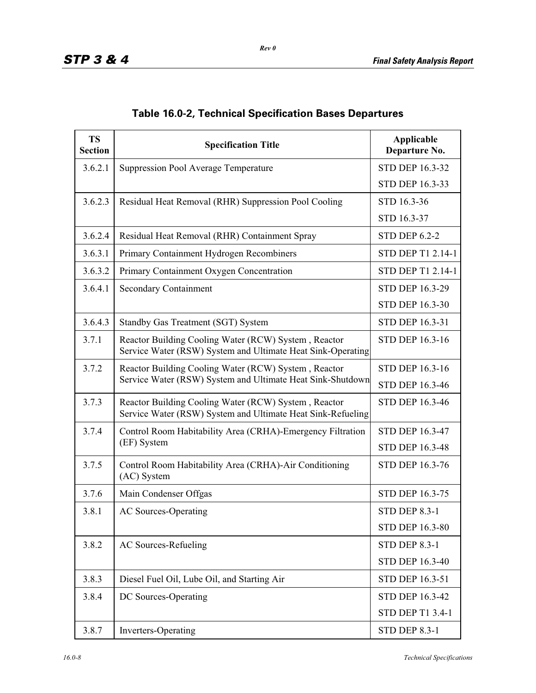| <b>TS</b><br><b>Section</b> | <b>Specification Title</b>                                                                                          | Applicable<br>Departure No. |
|-----------------------------|---------------------------------------------------------------------------------------------------------------------|-----------------------------|
| 3.6.2.1                     | Suppression Pool Average Temperature                                                                                | STD DEP 16.3-32             |
|                             |                                                                                                                     | STD DEP 16.3-33             |
| 3.6.2.3                     | Residual Heat Removal (RHR) Suppression Pool Cooling                                                                | STD 16.3-36                 |
|                             |                                                                                                                     | STD 16.3-37                 |
| 3.6.2.4                     | Residual Heat Removal (RHR) Containment Spray                                                                       | <b>STD DEP 6.2-2</b>        |
| 3.6.3.1                     | Primary Containment Hydrogen Recombiners                                                                            | STD DEP T1 2.14-1           |
| 3.6.3.2                     | Primary Containment Oxygen Concentration                                                                            | STD DEP T1 2.14-1           |
| 3.6.4.1                     | <b>Secondary Containment</b>                                                                                        | <b>STD DEP 16.3-29</b>      |
|                             |                                                                                                                     | STD DEP 16.3-30             |
| 3.6.4.3                     | Standby Gas Treatment (SGT) System                                                                                  | STD DEP 16.3-31             |
| 3.7.1                       | Reactor Building Cooling Water (RCW) System, Reactor<br>Service Water (RSW) System and Ultimate Heat Sink-Operating | <b>STD DEP 16.3-16</b>      |
| 3.7.2                       | Reactor Building Cooling Water (RCW) System, Reactor                                                                | <b>STD DEP 16.3-16</b>      |
|                             | Service Water (RSW) System and Ultimate Heat Sink-Shutdown                                                          | <b>STD DEP 16.3-46</b>      |
| 3.7.3                       | Reactor Building Cooling Water (RCW) System, Reactor<br>Service Water (RSW) System and Ultimate Heat Sink-Refueling | <b>STD DEP 16.3-46</b>      |
| 3.7.4                       | Control Room Habitability Area (CRHA)-Emergency Filtration                                                          | <b>STD DEP 16.3-47</b>      |
|                             | (EF) System                                                                                                         | <b>STD DEP 16.3-48</b>      |
| 3.7.5                       | Control Room Habitability Area (CRHA)-Air Conditioning<br>(AC) System                                               | STD DEP 16.3-76             |
| 3.7.6                       | Main Condenser Offgas                                                                                               | STD DEP 16.3-75             |
| 3.8.1                       | <b>AC Sources-Operating</b>                                                                                         | <b>STD DEP 8.3-1</b>        |
|                             |                                                                                                                     | STD DEP 16.3-80             |
| 3.8.2                       | <b>AC Sources-Refueling</b>                                                                                         | <b>STD DEP 8.3-1</b>        |
|                             |                                                                                                                     | <b>STD DEP 16.3-40</b>      |
| 3.8.3                       | Diesel Fuel Oil, Lube Oil, and Starting Air                                                                         | STD DEP 16.3-51             |
| 3.8.4                       | DC Sources-Operating                                                                                                | STD DEP 16.3-42             |
|                             |                                                                                                                     | <b>STD DEP T1 3.4-1</b>     |
| 3.8.7                       | Inverters-Operating                                                                                                 | <b>STD DEP 8.3-1</b>        |